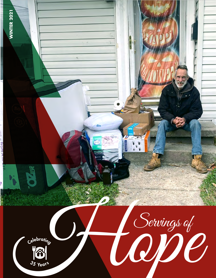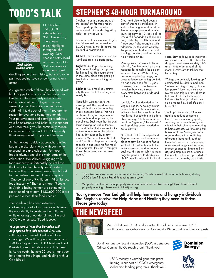On October 15th, JCOC celebrated our 35th Anniversary. There were many highlights throughout the evening. Guest speaker Kathy Izard was amazing. Our 35th anniversary video was great



*Todd Walker Executive Director*

detailing some of our history, but my favorite part was seeing seven of our former clients attend.

As I greeted each of them, they beamed with light, happy to be a part of the celebration. I smiled as they nervously asked if they looked okay while displaying a warm sense of pride. The smiles on their faces said it all. I told each of them, "You are the reason for everyone being here tonight. Your perseverance and courage to address your homelessness and belief in our support and resources, gives the community reason to continue investing in JCOC." I sincerely thank everyone who supported the event!

As the holidays quickly approach, families begin to make plans to be with each other to spend time and celebrate. For most, food is always one of the main parts of the celebration. Households struggling with food insecurity, unfortunately do not have the luxury to plan these types of parties because they don't even have enough food for themselves. Feeding America reports, "One out of every 9 children in Virginia face food insecurity." They also share, "People in Virginia facing hunger are estimated to report needing to earn \$433,605,000 more per year to meet their food needs."

The pandemic has been extremely challenging for all of us. Everyone deserves the opportunity to celebrate the holidays while enjoying a wonderful meal. Here at JCOC we often say, "Food is Love."

#### *Your generous Year End Donation will*

*help spread love this season!* One way is through our annual Holiday of Hope campaign. We will be giving a minimum of 150 Thanksgiving and 150 Christmas Food Baskets to area households who truly need it. As we begin the next 35 years, thank you for bringing Help Hope and Healing with us. God Bless!!

### TODD'S TALK STEPHEN'S 48-HOUR TURNAROUND

Stephen slept in a porta potty at the oceanfront for three nights. Yes, a porta potty. He later commented, "It sounds disgusting right? But it was warm."

Ten years of homelessness plagued the 54-year-old before seeking JCOC's help. In just 48 hours, his life took a dramatic turn -

Night 1: He found refuge from the wind and rain in a porta potty.

Night 2: Our Rapid Rehousing staff began looking for a place for him to live. He sought shelter in the same place after getting a blanket and warm clothing from JCOC.

Night 3: Ate a meal at Community Dinner. His last evening in a smelly box.

Thankfully October 28th was moving day! The Rapid Rehousing staff had found an opening in a 4-bedroom home. This type of shared living arrangement is affordable and empowering to our clients. Each room has its own lease making individual tenants responsible for their own rent rather than one lease for the whole house. Surrounded by a new mattress, Welcome Home Basket and Food Box, Stephen was ready to settle in and cook his first meal in a long time. He said, "You guys have blessed me over and over again."

Drugs and alcohol had been a part of Stephen's childhood. In spite of learning to work hard delivering newspapers and mowing lawns as early as 10-years-old, he was a "full-fledged" alcoholic and drug addict by 15. His mom and "three dads" also struggled with addiction. As the years went by, the young man had jobs in landscaping, painting, and restaurants. He divorced twice.

Moving from Delaware to Pennsylvania, Stephen was a property manager for a mobile home park for several years. With a strong desire to stop taking drugs, he chose to leave everything behind. He has been clean for 12 years. However, in 2010 he became homeless bouncing through every state between Florida and California.

Last July Stephen decided to try Virginia Beach. A bounty hunter he met told him about a seasonal fulltime job at the oceanfront. He was hired, but couldn't find affordable housing. "I believe in God, and I don't give up," he shared. "I just kept doing what I needed to do to survive.

Now that JCOC has helped find Stephen a warm and permanent place to stay, he hopes to find a job that will sustain him until the fulltime seasonal position opens back up. His dream job is to train dogs for people with disabilities. SNAP benefits help with his food



costs. Staying focused is important as he overcomes PTSD, a bi-polar diagnosis and seeks sobriety. He's also trying to get a hold of his mom in Delaware to tell her that he is okay.

"Things are definitely looking up," commented this determined man. "When deciding to help [a homeless person] look into their eyes. My momma told me that. There is help available for the homeless. It does take time. Just don't give up no matter how bad life gets. I haven't."

The Rapid Rehousing Initiative's goal is to reduce someone's time in homelessness by quickly securing permanent housing and minimize their chance of returning to homelessness. Our Housing Stabilization Case Managers recruit area landlord's in establishing affordable housing throughout Hampton Roads. In-Home one-onone Case Management services include budgeting, financial literacy and employment assistance. Financial assistance is provided as needed on a case-by-case basis.

### DID YOU KNOW?

- 132 clients received case support services including 99 who moved into affordable housing during JCOC's last 12-month Rapid Rehousing grant cycle.
- We partner with area rental property owners to provide affordable housing! If you have a rental property opening, please email ltolly@jcoc.org.

Your generous Year End gift will help homeless and hungry individuals like Stephen receive the Help Hope and Healing they need to thrive. Please give today!

### THE NEWSFEED



Mercy Chefs and JCOC collaborated this fall to provide over 1,500 nutritious microwavable meals to Community Dinner and Food Pantry guests.

Dominion Energy recently awarded JCOC a generous Critical Community Outreach grant. Thank you!



USAA recently awarded generous grant funding in support of JCOC's emergency shelter and feeding programs. Thank you!

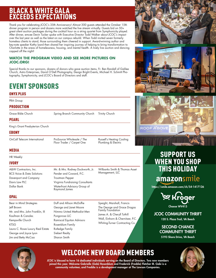### **BLACK & WHITE GALA** EXCEEDS EXPECTATIONS

Thank you for celebrating JCOC's 35th Anniversary! Almost 300 guests attended the October 15th dinner program in person and dozens more watched the live stream virtually. Guests bid on 50+ great silent auction packages during the cocktail hour as a string quartet from Symphonicity played. After dinner, emcee Devin Tucker spoke with Executive Director Todd Walker about JCOC's impact over the last year as well as the latest on our campus rebuild. When Todd invited seven formerly homeless clients to stand, those surrounding them cheered in support. Award-winning author and key-note speaker Kathy Izard then shared her inspiring journey of helping to bring transformation to Charlotte in the areas of homelessness, housing, and mental health. A lively live auction and dancing capped off the night!

#### **WATCH THE PROGRAM VIDEO AND SEE MORE PICTURES ON JCOC.ORG!**

Special thanks to our sponsors, dozens of donors who gave auction items, Fr. Ben Randall of Galilee Church, Astro Enterprises, David O'Dell Photography, Design Bright Events, Michael H. Schmitt Photography, Symphonicity, and JCOC's Board of Directors and staff.

### EVENT SPONSORS

#### ONYX PLUS

PRA Group

#### PRODUCTION

Grace Bible Church Spring Branch Community Church Trinity Church

#### PEARL

King's Grant Presbyterian Church

#### **EBONY**

OnCall Telecom International ProSource Wholesale / The

Floor Trader / Carpet One

Russell's Heating Cooling Plumbing & Electric

### MEDIA

HR Weekly

#### IVORY

A&W Contractors, Inc. BCS Voice & Data Solutions Davenport and Company Davis Law PLC Dollar Bank

#### OPAL

Bear in Mind Strategies Jeff Brown Mr. and Mrs. John Franklin, III Kaufman & Canoles Kempsville Church **KTSG** Laura C. Rowe Luxury Real Estate George and Joyce Lyon Jim and Betty McCaa

Mr. & Mrs. Rodney Duckworth, Jr. Pender and Coward, P.C. Troutman Pepper Virginia Fundraising Consultants Waterfront Advisory Group of Raymond James

Pungorosa LLC

Rosenblum Family Rutledge Family Siebert Realty Sharon Smith

Wilbanks Smith & Thomas Asset Management, LLC

Duff and Allison McDuffie George and Janet Moore Nimmo United Methodist Men Ramiscal Equitan Advisors

Speight, Marshall, Francis The George and Grace Dragas Family Foundation James A. & Cheryll Tuthill Wall, Einhorn & Chernitzer, P.C. Whiting-Turner Contracting Co.,







### SUPPORT US WHEN YOU SHOP THIS HOLIDAY

### amazonsmile

https://smile.amazon.com/ch/54-1417126



Choose WV413

### JCOC COMMUNITY THRIFT

120 S. Plaza Trail, VA Beach

SECOND CHANCE COMMUNITY THRIFT

5193 Shore Drive, VA Beach





## WELCOME NEW BOARD MEMBERS

JCOC is blessed to have 16 dedicated individuals serving on the Board of Directors. Two new members joined this year. Welcome Gabrielle (Gabi) Rosenblum and Frederick (Freddie) Fletcher III. Gabi is a community volunteer, and Freddie is a development manager at The Lawson Companies.